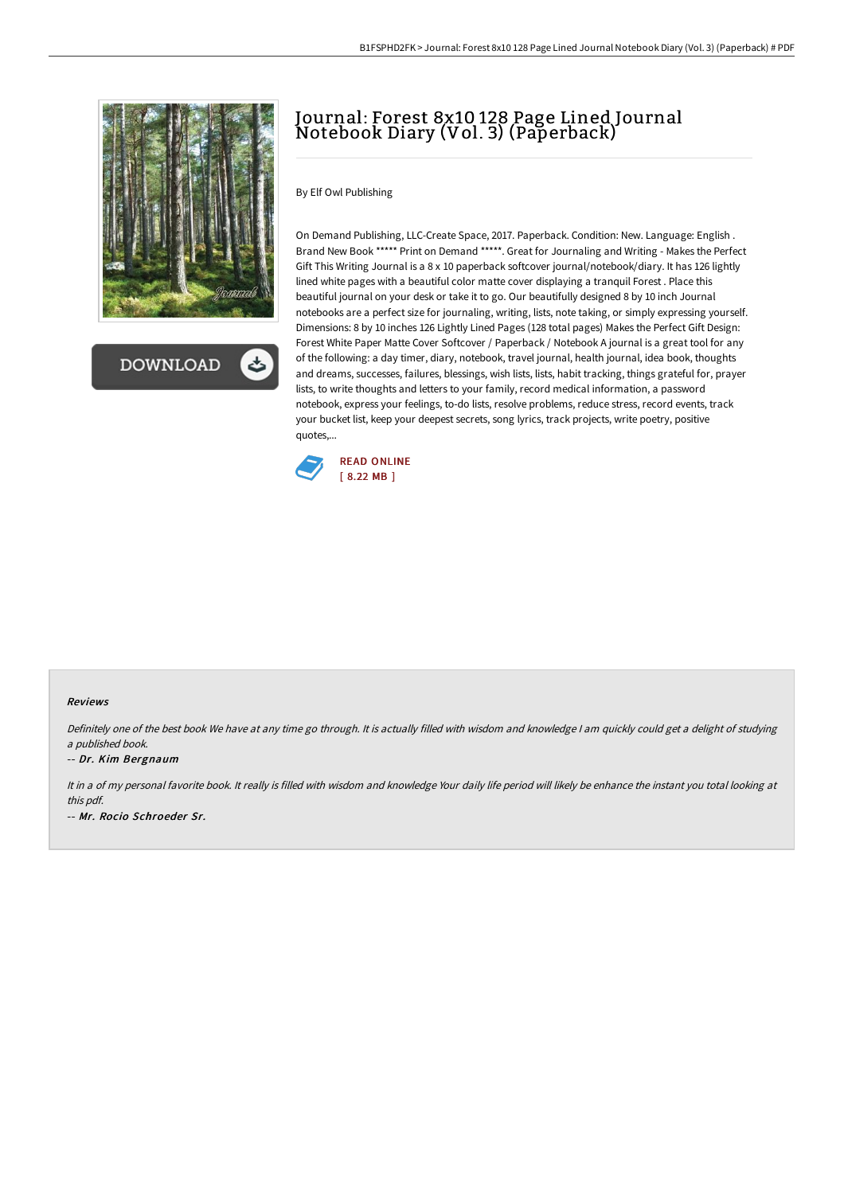

**DOWNLOAD** 

# Journal: Forest 8x10 128 Page Lined Journal Notebook Diary (Vol. 3) (Paperback)

### By Elf Owl Publishing

On Demand Publishing, LLC-Create Space, 2017. Paperback. Condition: New. Language: English . Brand New Book \*\*\*\*\* Print on Demand \*\*\*\*\*. Great for Journaling and Writing - Makes the Perfect Gift This Writing Journal is a 8 x 10 paperback softcover journal/notebook/diary. It has 126 lightly lined white pages with a beautiful color matte cover displaying a tranquil Forest . Place this beautiful journal on your desk or take it to go. Our beautifully designed 8 by 10 inch Journal notebooks are a perfect size for journaling, writing, lists, note taking, or simply expressing yourself. Dimensions: 8 by 10 inches 126 Lightly Lined Pages (128 total pages) Makes the Perfect Gift Design: Forest White Paper Matte Cover Softcover / Paperback / Notebook A journal is a great tool for any of the following: a day timer, diary, notebook, travel journal, health journal, idea book, thoughts and dreams, successes, failures, blessings, wish lists, lists, habit tracking, things grateful for, prayer lists, to write thoughts and letters to your family, record medical information, a password notebook, express your feelings, to-do lists, resolve problems, reduce stress, record events, track your bucket list, keep your deepest secrets, song lyrics, track projects, write poetry, positive quotes,...



#### Reviews

Definitely one of the best book We have at any time go through. It is actually filled with wisdom and knowledge <sup>I</sup> am quickly could get <sup>a</sup> delight of studying <sup>a</sup> published book.

#### -- Dr. Kim Bergnaum

It in a of my personal favorite book. It really is filled with wisdom and knowledge Your daily life period will likely be enhance the instant you total looking at this pdf. -- Mr. Rocio Schroeder Sr.